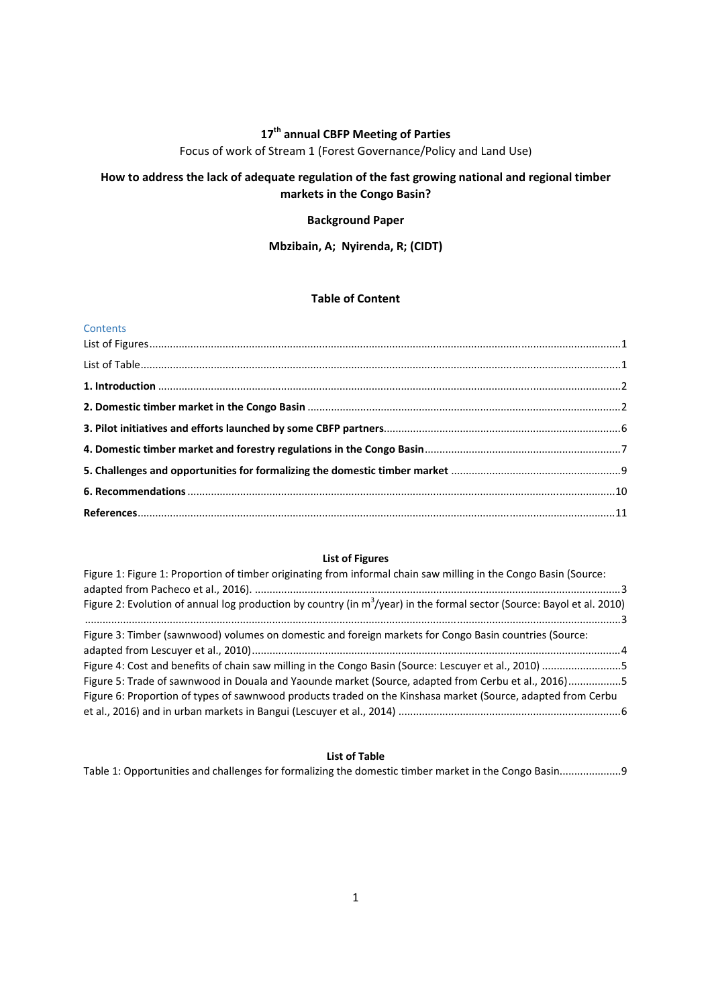# **17th annual CBFP Meeting of Parties**

Focus of work of Stream 1 (Forest Governance/Policy and Land Use)

# **How to address the lack of adequate regulation of the fast growing national and regional timber markets in the Congo Basin?**

## **Background Paper**

# **Mbzibain, A; Nyirenda, R; (CIDT)**

## **Table of Content**

#### **Contents**

# **List of Figures**

| Figure 1: Figure 1: Proportion of timber originating from informal chain saw milling in the Congo Basin (Source:          |  |
|---------------------------------------------------------------------------------------------------------------------------|--|
|                                                                                                                           |  |
| Figure 2: Evolution of annual log production by country (in $m^3$ /year) in the formal sector (Source: Bayol et al. 2010) |  |
|                                                                                                                           |  |
| Figure 3: Timber (sawnwood) volumes on domestic and foreign markets for Congo Basin countries (Source:                    |  |
|                                                                                                                           |  |
| Figure 4: Cost and benefits of chain saw milling in the Congo Basin (Source: Lescuyer et al., 2010) 5                     |  |
| Figure 5: Trade of sawnwood in Douala and Yaounde market (Source, adapted from Cerbu et al., 2016)5                       |  |
| Figure 6: Proportion of types of sawnwood products traded on the Kinshasa market (Source, adapted from Cerbu              |  |
|                                                                                                                           |  |

# **List of Table**

Table 1: Opportunities and challenges for formalizing the domestic timber market in the Congo Basin.....................9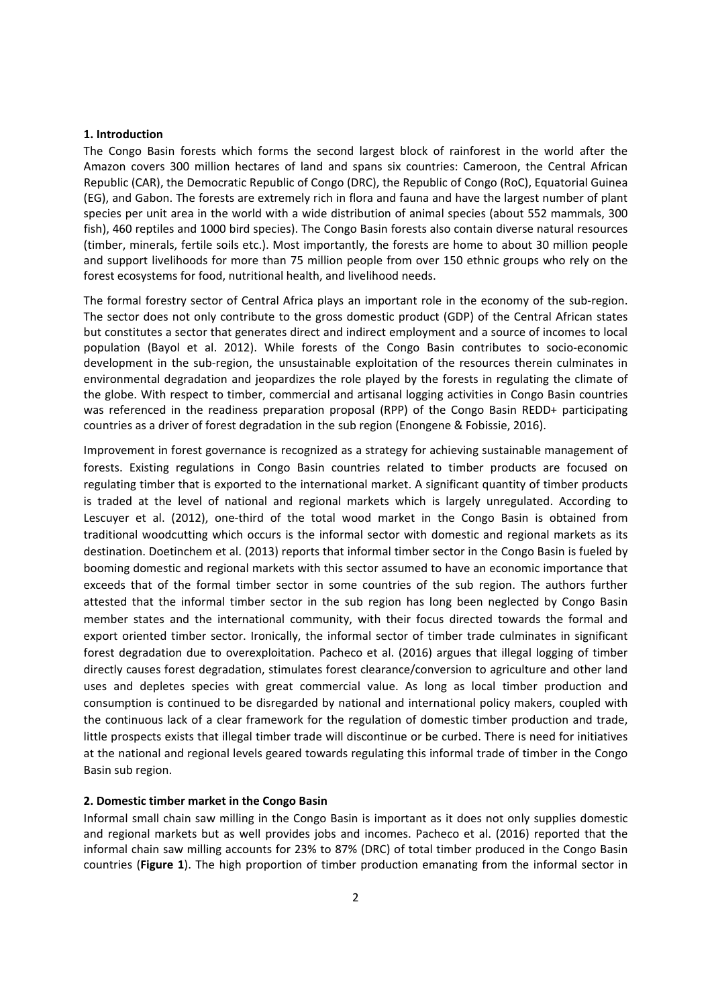#### **1. Introduction**

The Congo Basin forests which forms the second largest block of rainforest in the world after the Amazon covers 300 million hectares of land and spans six countries: Cameroon, the Central African Republic (CAR), the Democratic Republic of Congo (DRC), the Republic of Congo (RoC), Equatorial Guinea (EG), and Gabon. The forests are extremely rich in flora and fauna and have the largest number of plant species per unit area in the world with a wide distribution of animal species (about 552 mammals, 300 fish), 460 reptiles and 1000 bird species). The Congo Basin forests also contain diverse natural resources (timber, minerals, fertile soils etc.). Most importantly, the forests are home to about 30 million people and support livelihoods for more than 75 million people from over 150 ethnic groups who rely on the forest ecosystems for food, nutritional health, and livelihood needs.

The formal forestry sector of Central Africa plays an important role in the economy of the sub‐region. The sector does not only contribute to the gross domestic product (GDP) of the Central African states but constitutes a sector that generates direct and indirect employment and a source of incomes to local population (Bayol et al. 2012). While forests of the Congo Basin contributes to socio‐economic development in the sub-region, the unsustainable exploitation of the resources therein culminates in environmental degradation and jeopardizes the role played by the forests in regulating the climate of the globe. With respect to timber, commercial and artisanal logging activities in Congo Basin countries was referenced in the readiness preparation proposal (RPP) of the Congo Basin REDD+ participating countries as a driver of forest degradation in the sub region (Enongene & Fobissie, 2016).

Improvement in forest governance is recognized as a strategy for achieving sustainable management of forests. Existing regulations in Congo Basin countries related to timber products are focused on regulating timber that is exported to the international market. A significant quantity of timber products is traded at the level of national and regional markets which is largely unregulated. According to Lescuyer et al. (2012), one-third of the total wood market in the Congo Basin is obtained from traditional woodcutting which occurs is the informal sector with domestic and regional markets as its destination. Doetinchem et al. (2013) reports that informal timber sector in the Congo Basin is fueled by booming domestic and regional markets with this sector assumed to have an economic importance that exceeds that of the formal timber sector in some countries of the sub region. The authors further attested that the informal timber sector in the sub region has long been neglected by Congo Basin member states and the international community, with their focus directed towards the formal and export oriented timber sector. Ironically, the informal sector of timber trade culminates in significant forest degradation due to overexploitation. Pacheco et al. (2016) argues that illegal logging of timber directly causes forest degradation, stimulates forest clearance/conversion to agriculture and other land uses and depletes species with great commercial value. As long as local timber production and consumption is continued to be disregarded by national and international policy makers, coupled with the continuous lack of a clear framework for the regulation of domestic timber production and trade, little prospects exists that illegal timber trade will discontinue or be curbed. There is need for initiatives at the national and regional levels geared towards regulating this informal trade of timber in the Congo Basin sub region.

#### **2. Domestic timber market in the Congo Basin**

Informal small chain saw milling in the Congo Basin is important as it does not only supplies domestic and regional markets but as well provides jobs and incomes. Pacheco et al. (2016) reported that the informal chain saw milling accounts for 23% to 87% (DRC) of total timber produced in the Congo Basin countries (**Figure 1**). The high proportion of timber production emanating from the informal sector in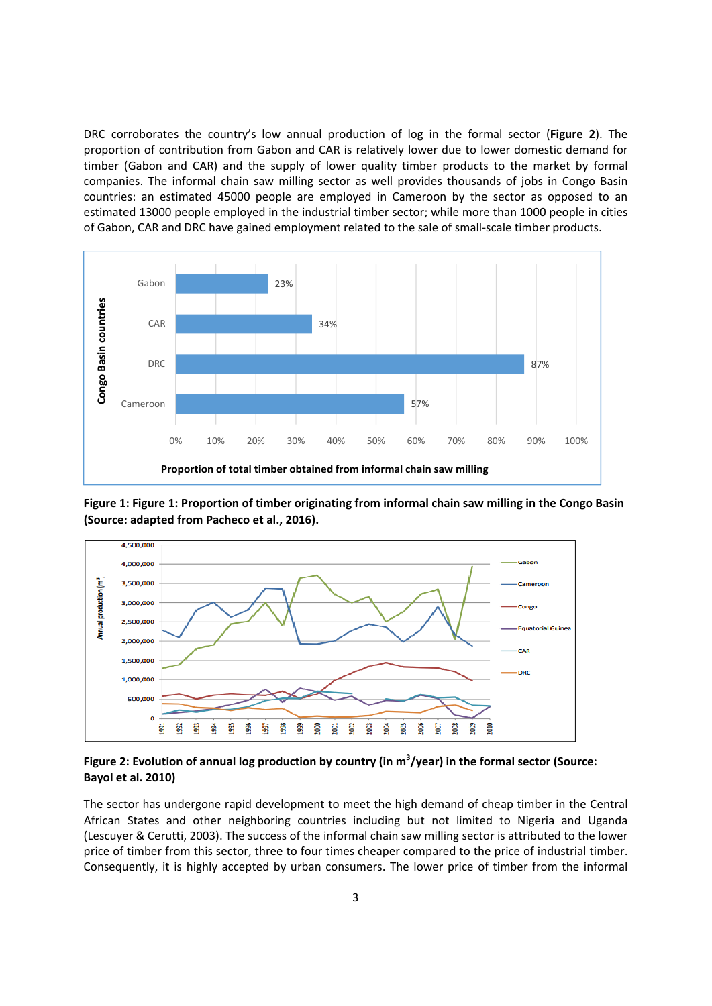DRC corroborates the country's low annual production of log in the formal sector (**Figure 2**). The proportion of contribution from Gabon and CAR is relatively lower due to lower domestic demand for timber (Gabon and CAR) and the supply of lower quality timber products to the market by formal companies. The informal chain saw milling sector as well provides thousands of jobs in Congo Basin countries: an estimated 45000 people are employed in Cameroon by the sector as opposed to an estimated 13000 people employed in the industrial timber sector; while more than 1000 people in cities of Gabon, CAR and DRC have gained employment related to the sale of small‐scale timber products.



**Figure 1: Figure 1: Proportion of timber originating from informal chain saw milling in the Congo Basin (Source: adapted from Pacheco et al., 2016).**



Figure 2: Evolution of annual log production by country (in m<sup>3</sup>/year) in the formal sector (Source: **Bayol et al. 2010)**

The sector has undergone rapid development to meet the high demand of cheap timber in the Central African States and other neighboring countries including but not limited to Nigeria and Uganda (Lescuyer & Cerutti, 2003). The success of the informal chain saw milling sector is attributed to the lower price of timber from this sector, three to four times cheaper compared to the price of industrial timber. Consequently, it is highly accepted by urban consumers. The lower price of timber from the informal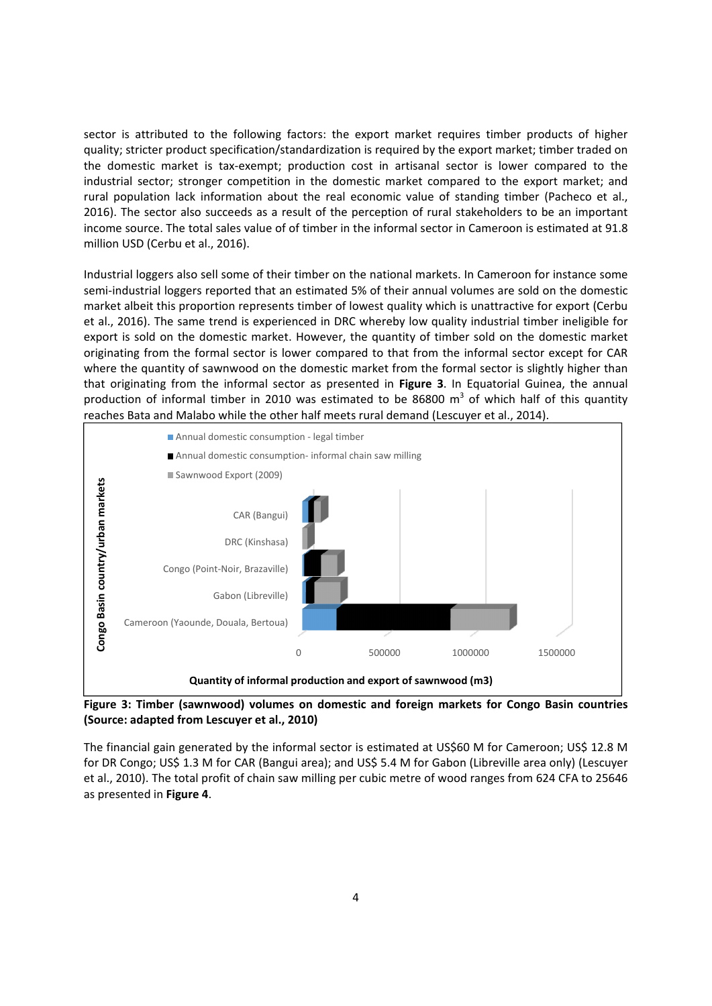sector is attributed to the following factors: the export market requires timber products of higher quality; stricter product specification/standardization is required by the export market; timber traded on the domestic market is tax‐exempt; production cost in artisanal sector is lower compared to the industrial sector; stronger competition in the domestic market compared to the export market; and rural population lack information about the real economic value of standing timber (Pacheco et al., 2016). The sector also succeeds as a result of the perception of rural stakeholders to be an important income source. The total sales value of of timber in the informal sector in Cameroon is estimated at 91.8 million USD (Cerbu et al., 2016).

Industrial loggers also sell some of their timber on the national markets. In Cameroon for instance some semi-industrial loggers reported that an estimated 5% of their annual volumes are sold on the domestic market albeit this proportion represents timber of lowest quality which is unattractive for export (Cerbu et al., 2016). The same trend is experienced in DRC whereby low quality industrial timber ineligible for export is sold on the domestic market. However, the quantity of timber sold on the domestic market originating from the formal sector is lower compared to that from the informal sector except for CAR where the quantity of sawnwood on the domestic market from the formal sector is slightly higher than that originating from the informal sector as presented in **Figure 3**. In Equatorial Guinea, the annual production of informal timber in 2010 was estimated to be 86800  $m<sup>3</sup>$  of which half of this quantity reaches Bata and Malabo while the other half meets rural demand (Lescuyer et al., 2014).



 **Figure 3: Timber (sawnwood) volumes on domestic and foreign markets for Congo Basin countries (Source: adapted from Lescuyer et al., 2010)**

The financial gain generated by the informal sector is estimated at US\$60 M for Cameroon; US\$ 12.8 M for DR Congo; US\$ 1.3 M for CAR (Bangui area); and US\$ 5.4 M for Gabon (Libreville area only) (Lescuyer et al., 2010). The total profit of chain saw milling per cubic metre of wood ranges from 624 CFA to 25646 as presented in **Figure 4**.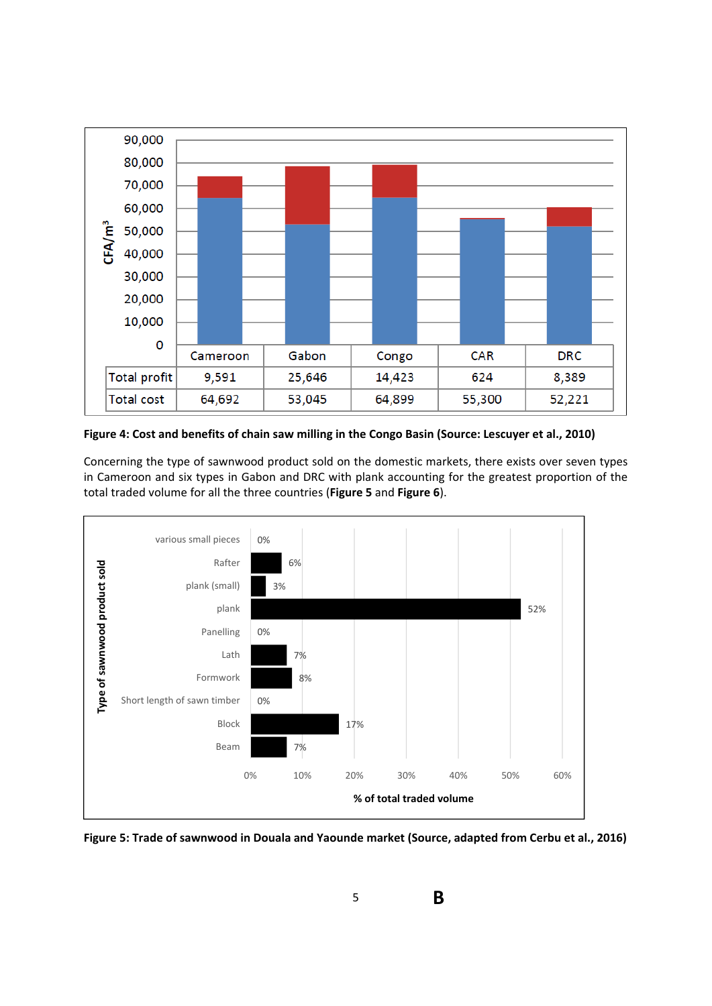

Figure 4: Cost and benefits of chain saw milling in the Congo Basin (Source: Lescuyer et al., 2010)

Concerning the type of sawnwood product sold on the domestic markets, there exists over seven types in Cameroon and six types in Gabon and DRC with plank accounting for the greatest proportion of the total traded volume for all the three countries (**Figure 5** and **Figure 6**).



**Figure 5: Trade of sawnwood in Douala and Yaounde market (Source, adapted from Cerbu et al., 2016)**

5

**B**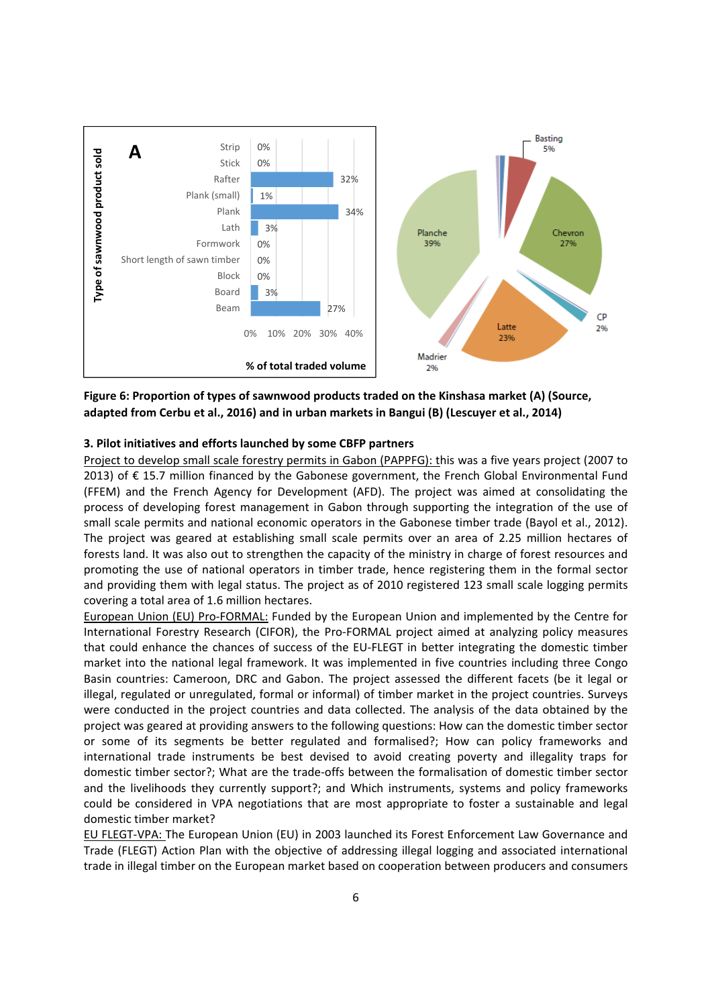

**Figure 6: Proportion of types of sawnwood products traded on the Kinshasa market (A) (Source, adapted from Cerbu et al., 2016) and in urban markets in Bangui (B) (Lescuyer et al., 2014)**

### **3. Pilot initiatives and efforts launched by some CBFP partners**

Project to develop small scale forestry permits in Gabon (PAPPFG): this was a five years project (2007 to 2013) of € 15.7 million financed by the Gabonese government, the French Global Environmental Fund (FFEM) and the French Agency for Development (AFD). The project was aimed at consolidating the process of developing forest management in Gabon through supporting the integration of the use of small scale permits and national economic operators in the Gabonese timber trade (Bayol et al., 2012). The project was geared at establishing small scale permits over an area of 2.25 million hectares of forests land. It was also out to strengthen the capacity of the ministry in charge of forest resources and promoting the use of national operators in timber trade, hence registering them in the formal sector and providing them with legal status. The project as of 2010 registered 123 small scale logging permits covering a total area of 1.6 million hectares.

European Union (EU) Pro‐FORMAL: Funded by the European Union and implemented by the Centre for International Forestry Research (CIFOR), the Pro‐FORMAL project aimed at analyzing policy measures that could enhance the chances of success of the EU‐FLEGT in better integrating the domestic timber market into the national legal framework. It was implemented in five countries including three Congo Basin countries: Cameroon, DRC and Gabon. The project assessed the different facets (be it legal or illegal, regulated or unregulated, formal or informal) of timber market in the project countries. Surveys were conducted in the project countries and data collected. The analysis of the data obtained by the project was geared at providing answers to the following questions: How can the domestic timber sector or some of its segments be better regulated and formalised?; How can policy frameworks and international trade instruments be best devised to avoid creating poverty and illegality traps for domestic timber sector?; What are the trade‐offs between the formalisation of domestic timber sector and the livelihoods they currently support?; and Which instruments, systems and policy frameworks could be considered in VPA negotiations that are most appropriate to foster a sustainable and legal domestic timber market?

EU FLEGT‐VPA: The European Union (EU) in 2003 launched its Forest Enforcement Law Governance and Trade (FLEGT) Action Plan with the objective of addressing illegal logging and associated international trade in illegal timber on the European market based on cooperation between producers and consumers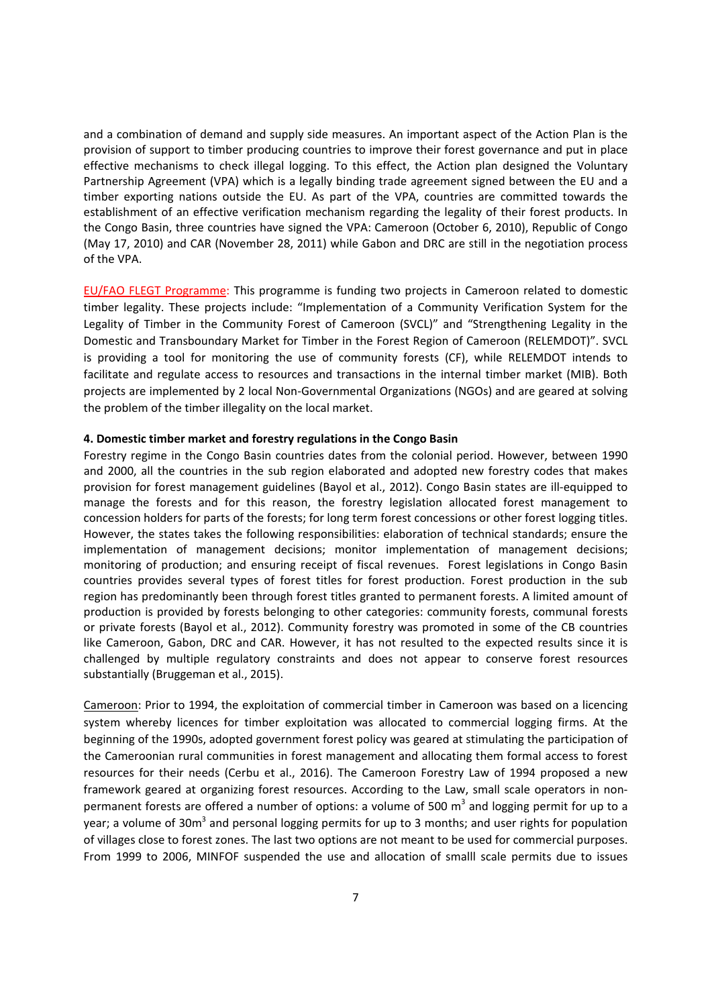and a combination of demand and supply side measures. An important aspect of the Action Plan is the provision of support to timber producing countries to improve their forest governance and put in place effective mechanisms to check illegal logging. To this effect, the Action plan designed the Voluntary Partnership Agreement (VPA) which is a legally binding trade agreement signed between the EU and a timber exporting nations outside the EU. As part of the VPA, countries are committed towards the establishment of an effective verification mechanism regarding the legality of their forest products. In the Congo Basin, three countries have signed the VPA: Cameroon (October 6, 2010), Republic of Congo (May 17, 2010) and CAR (November 28, 2011) while Gabon and DRC are still in the negotiation process of the VPA.

EU/FAO FLEGT Programme: This programme is funding two projects in Cameroon related to domestic timber legality. These projects include: "Implementation of a Community Verification System for the Legality of Timber in the Community Forest of Cameroon (SVCL)" and "Strengthening Legality in the Domestic and Transboundary Market for Timber in the Forest Region of Cameroon (RELEMDOT)". SVCL is providing a tool for monitoring the use of community forests (CF), while RELEMDOT intends to facilitate and regulate access to resources and transactions in the internal timber market (MIB). Both projects are implemented by 2 local Non‐Governmental Organizations (NGOs) and are geared at solving the problem of the timber illegality on the local market.

### **4. Domestic timber market and forestry regulations in the Congo Basin**

Forestry regime in the Congo Basin countries dates from the colonial period. However, between 1990 and 2000, all the countries in the sub region elaborated and adopted new forestry codes that makes provision for forest management guidelines (Bayol et al., 2012). Congo Basin states are ill‐equipped to manage the forests and for this reason, the forestry legislation allocated forest management to concession holders for parts of the forests; for long term forest concessions or other forest logging titles. However, the states takes the following responsibilities: elaboration of technical standards; ensure the implementation of management decisions; monitor implementation of management decisions; monitoring of production; and ensuring receipt of fiscal revenues. Forest legislations in Congo Basin countries provides several types of forest titles for forest production. Forest production in the sub region has predominantly been through forest titles granted to permanent forests. A limited amount of production is provided by forests belonging to other categories: community forests, communal forests or private forests (Bayol et al., 2012). Community forestry was promoted in some of the CB countries like Cameroon, Gabon, DRC and CAR. However, it has not resulted to the expected results since it is challenged by multiple regulatory constraints and does not appear to conserve forest resources substantially (Bruggeman et al., 2015).

Cameroon: Prior to 1994, the exploitation of commercial timber in Cameroon was based on a licencing system whereby licences for timber exploitation was allocated to commercial logging firms. At the beginning of the 1990s, adopted government forest policy was geared at stimulating the participation of the Cameroonian rural communities in forest management and allocating them formal access to forest resources for their needs (Cerbu et al., 2016). The Cameroon Forestry Law of 1994 proposed a new framework geared at organizing forest resources. According to the Law, small scale operators in non‐ permanent forests are offered a number of options: a volume of 500  $m<sup>3</sup>$  and logging permit for up to a year; a volume of 30m<sup>3</sup> and personal logging permits for up to 3 months; and user rights for population of villages close to forest zones. The last two options are not meant to be used for commercial purposes. From 1999 to 2006, MINFOF suspended the use and allocation of smalll scale permits due to issues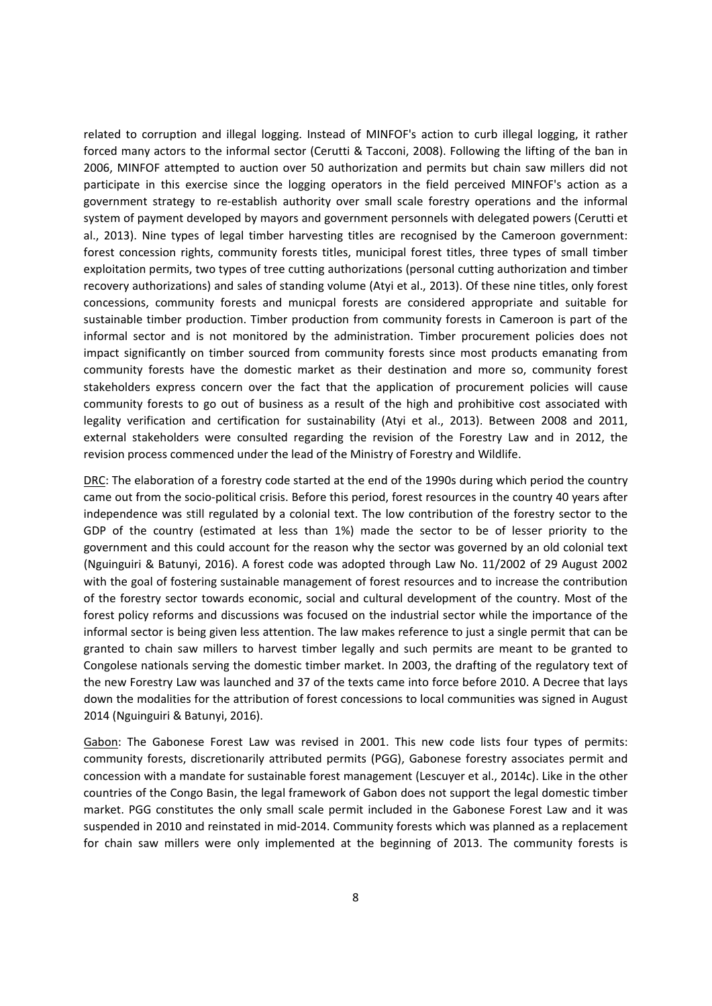related to corruption and illegal logging. Instead of MINFOF's action to curb illegal logging, it rather forced many actors to the informal sector (Cerutti & Tacconi, 2008). Following the lifting of the ban in 2006, MINFOF attempted to auction over 50 authorization and permits but chain saw millers did not participate in this exercise since the logging operators in the field perceived MINFOF's action as a government strategy to re‐establish authority over small scale forestry operations and the informal system of payment developed by mayors and government personnels with delegated powers (Cerutti et al., 2013). Nine types of legal timber harvesting titles are recognised by the Cameroon government: forest concession rights, community forests titles, municipal forest titles, three types of small timber exploitation permits, two types of tree cutting authorizations (personal cutting authorization and timber recovery authorizations) and sales of standing volume (Atyi et al., 2013). Of these nine titles, only forest concessions, community forests and municpal forests are considered appropriate and suitable for sustainable timber production. Timber production from community forests in Cameroon is part of the informal sector and is not monitored by the administration. Timber procurement policies does not impact significantly on timber sourced from community forests since most products emanating from community forests have the domestic market as their destination and more so, community forest stakeholders express concern over the fact that the application of procurement policies will cause community forests to go out of business as a result of the high and prohibitive cost associated with legality verification and certification for sustainability (Atyi et al., 2013). Between 2008 and 2011, external stakeholders were consulted regarding the revision of the Forestry Law and in 2012, the revision process commenced under the lead of the Ministry of Forestry and Wildlife.

DRC: The elaboration of a forestry code started at the end of the 1990s during which period the country came out from the socio‐political crisis. Before this period, forest resources in the country 40 years after independence was still regulated by a colonial text. The low contribution of the forestry sector to the GDP of the country (estimated at less than 1%) made the sector to be of lesser priority to the government and this could account for the reason why the sector was governed by an old colonial text (Nguinguiri & Batunyi, 2016). A forest code was adopted through Law No. 11/2002 of 29 August 2002 with the goal of fostering sustainable management of forest resources and to increase the contribution of the forestry sector towards economic, social and cultural development of the country. Most of the forest policy reforms and discussions was focused on the industrial sector while the importance of the informal sector is being given less attention. The law makes reference to just a single permit that can be granted to chain saw millers to harvest timber legally and such permits are meant to be granted to Congolese nationals serving the domestic timber market. In 2003, the drafting of the regulatory text of the new Forestry Law was launched and 37 of the texts came into force before 2010. A Decree that lays down the modalities for the attribution of forest concessions to local communities was signed in August 2014 (Nguinguiri & Batunyi, 2016).

Gabon: The Gabonese Forest Law was revised in 2001. This new code lists four types of permits: community forests, discretionarily attributed permits (PGG), Gabonese forestry associates permit and concession with a mandate for sustainable forest management (Lescuyer et al., 2014c). Like in the other countries of the Congo Basin, the legal framework of Gabon does not support the legal domestic timber market. PGG constitutes the only small scale permit included in the Gabonese Forest Law and it was suspended in 2010 and reinstated in mid-2014. Community forests which was planned as a replacement for chain saw millers were only implemented at the beginning of 2013. The community forests is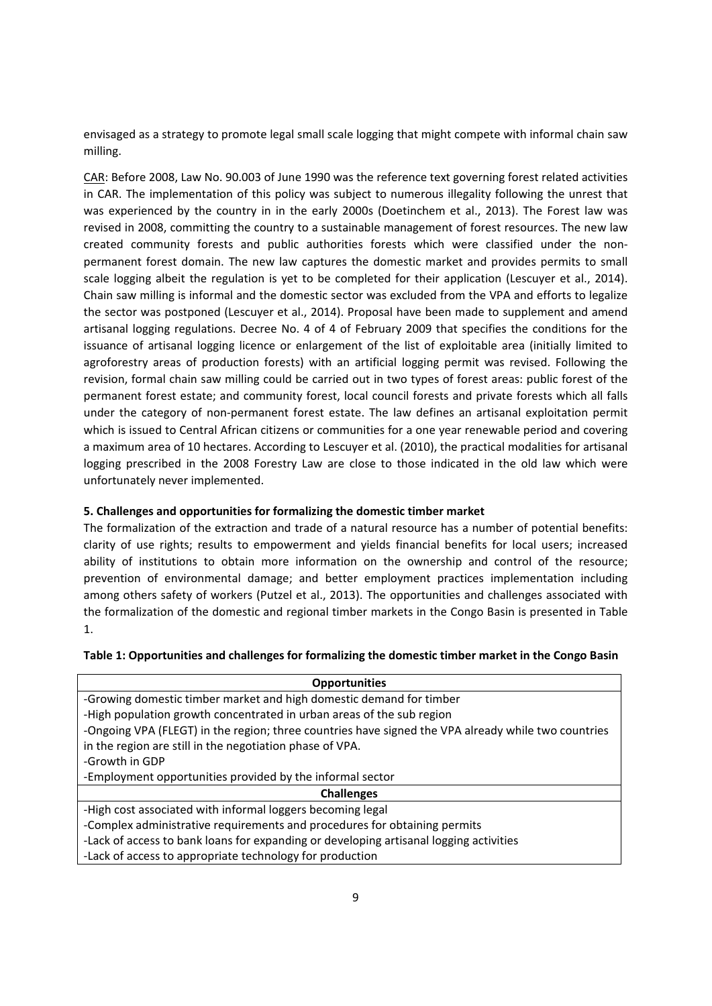envisaged as a strategy to promote legal small scale logging that might compete with informal chain saw milling.

CAR: Before 2008, Law No. 90.003 of June 1990 was the reference text governing forest related activities in CAR. The implementation of this policy was subject to numerous illegality following the unrest that was experienced by the country in in the early 2000s (Doetinchem et al., 2013). The Forest law was revised in 2008, committing the country to a sustainable management of forest resources. The new law created community forests and public authorities forests which were classified under the non‐ permanent forest domain. The new law captures the domestic market and provides permits to small scale logging albeit the regulation is yet to be completed for their application (Lescuyer et al., 2014). Chain saw milling is informal and the domestic sector was excluded from the VPA and efforts to legalize the sector was postponed (Lescuyer et al., 2014). Proposal have been made to supplement and amend artisanal logging regulations. Decree No. 4 of 4 of February 2009 that specifies the conditions for the issuance of artisanal logging licence or enlargement of the list of exploitable area (initially limited to agroforestry areas of production forests) with an artificial logging permit was revised. Following the revision, formal chain saw milling could be carried out in two types of forest areas: public forest of the permanent forest estate; and community forest, local council forests and private forests which all falls under the category of non‐permanent forest estate. The law defines an artisanal exploitation permit which is issued to Central African citizens or communities for a one year renewable period and covering a maximum area of 10 hectares. According to Lescuyer et al. (2010), the practical modalities for artisanal logging prescribed in the 2008 Forestry Law are close to those indicated in the old law which were unfortunately never implemented.

# **5. Challenges and opportunities for formalizing the domestic timber market**

The formalization of the extraction and trade of a natural resource has a number of potential benefits: clarity of use rights; results to empowerment and yields financial benefits for local users; increased ability of institutions to obtain more information on the ownership and control of the resource; prevention of environmental damage; and better employment practices implementation including among others safety of workers (Putzel et al., 2013). The opportunities and challenges associated with the formalization of the domestic and regional timber markets in the Congo Basin is presented in Table 1.

| <b>Opportunities</b>                                                                                |
|-----------------------------------------------------------------------------------------------------|
| -Growing domestic timber market and high domestic demand for timber                                 |
| -High population growth concentrated in urban areas of the sub region                               |
| -Ongoing VPA (FLEGT) in the region; three countries have signed the VPA already while two countries |
| in the region are still in the negotiation phase of VPA.                                            |
| -Growth in GDP                                                                                      |
| -Employment opportunities provided by the informal sector                                           |
| <b>Challenges</b>                                                                                   |
| -High cost associated with informal loggers becoming legal                                          |
| -Complex administrative requirements and procedures for obtaining permits                           |
| -Lack of access to bank loans for expanding or developing artisanal logging activities              |
| -Lack of access to appropriate technology for production                                            |
|                                                                                                     |

### **Table 1: Opportunities and challenges for formalizing the domestic timber market in the Congo Basin**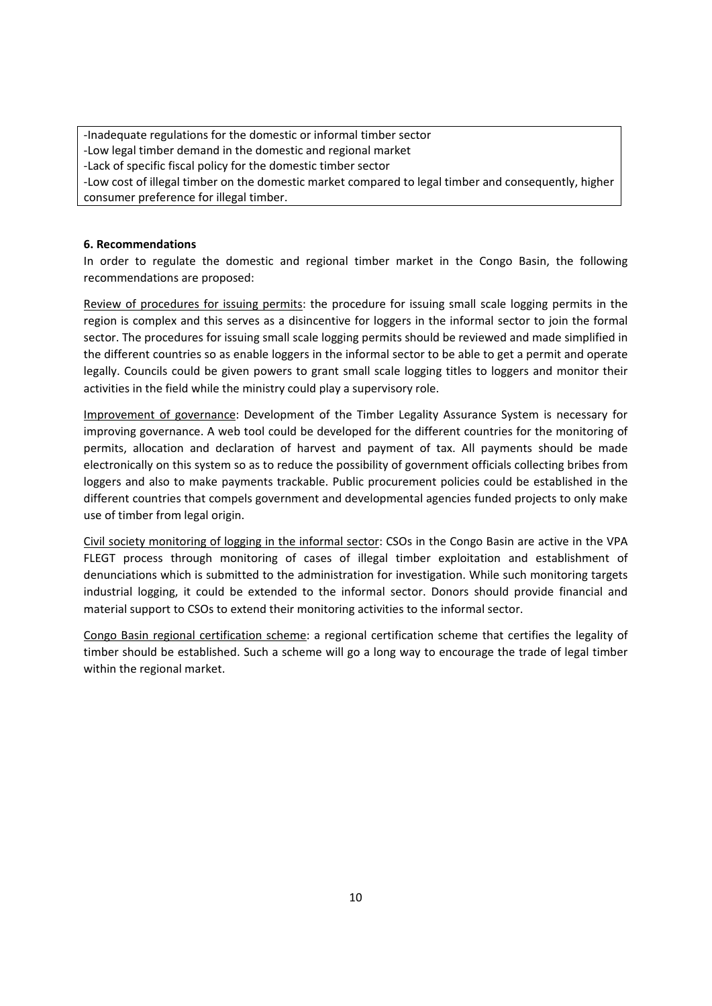‐Inadequate regulations for the domestic or informal timber sector ‐Low legal timber demand in the domestic and regional market ‐Lack of specific fiscal policy for the domestic timber sector ‐Low cost of illegal timber on the domestic market compared to legal timber and consequently, higher consumer preference for illegal timber.

### **6. Recommendations**

In order to regulate the domestic and regional timber market in the Congo Basin, the following recommendations are proposed:

Review of procedures for issuing permits: the procedure for issuing small scale logging permits in the region is complex and this serves as a disincentive for loggers in the informal sector to join the formal sector. The procedures for issuing small scale logging permits should be reviewed and made simplified in the different countries so as enable loggers in the informal sector to be able to get a permit and operate legally. Councils could be given powers to grant small scale logging titles to loggers and monitor their activities in the field while the ministry could play a supervisory role.

Improvement of governance: Development of the Timber Legality Assurance System is necessary for improving governance. A web tool could be developed for the different countries for the monitoring of permits, allocation and declaration of harvest and payment of tax. All payments should be made electronically on this system so as to reduce the possibility of government officials collecting bribes from loggers and also to make payments trackable. Public procurement policies could be established in the different countries that compels government and developmental agencies funded projects to only make use of timber from legal origin.

Civil society monitoring of logging in the informal sector: CSOs in the Congo Basin are active in the VPA FLEGT process through monitoring of cases of illegal timber exploitation and establishment of denunciations which is submitted to the administration for investigation. While such monitoring targets industrial logging, it could be extended to the informal sector. Donors should provide financial and material support to CSOs to extend their monitoring activities to the informal sector.

Congo Basin regional certification scheme: a regional certification scheme that certifies the legality of timber should be established. Such a scheme will go a long way to encourage the trade of legal timber within the regional market.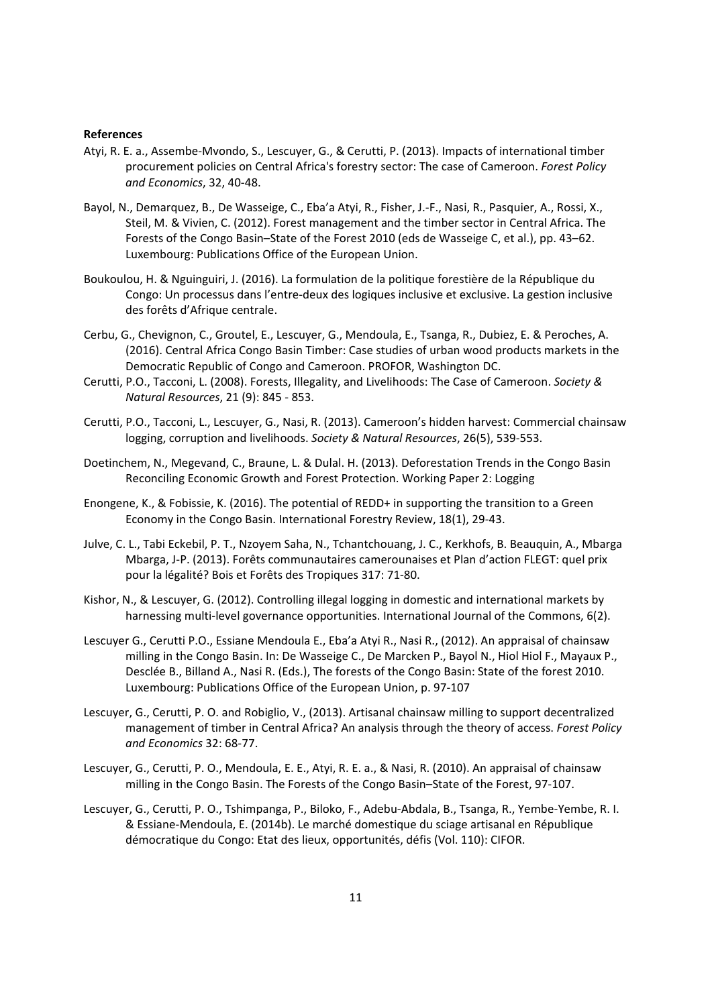#### **References**

- Atyi, R. E. a., Assembe‐Mvondo, S., Lescuyer, G., & Cerutti, P. (2013). Impacts of international timber procurement policies on Central Africa's forestry sector: The case of Cameroon. *Forest Policy and Economics*, 32, 40‐48.
- Bayol, N., Demarquez, B., De Wasseige, C., Eba'a Atyi, R., Fisher, J.‐F., Nasi, R., Pasquier, A., Rossi, X., Steil, M. & Vivien, C. (2012). Forest management and the timber sector in Central Africa. The Forests of the Congo Basin–State of the Forest 2010 (eds de Wasseige C, et al.), pp. 43–62. Luxembourg: Publications Office of the European Union.
- Boukoulou, H. & Nguinguiri, J. (2016). La formulation de la politique forestière de la République du Congo: Un processus dans l'entre‐deux des logiques inclusive et exclusive. La gestion inclusive des forêts d'Afrique centrale.
- Cerbu, G., Chevignon, C., Groutel, E., Lescuyer, G., Mendoula, E., Tsanga, R., Dubiez, E. & Peroches, A. (2016). Central Africa Congo Basin Timber: Case studies of urban wood products markets in the Democratic Republic of Congo and Cameroon. PROFOR, Washington DC.
- Cerutti, P.O., Tacconi, L. (2008). Forests, Illegality, and Livelihoods: The Case of Cameroon. *Society & Natural Resources*, 21 (9): 845 ‐ 853.
- Cerutti, P.O., Tacconi, L., Lescuyer, G., Nasi, R. (2013). Cameroon's hidden harvest: Commercial chainsaw logging, corruption and livelihoods. *Society & Natural Resources*, 26(5), 539‐553.
- Doetinchem, N., Megevand, C., Braune, L. & Dulal. H. (2013). Deforestation Trends in the Congo Basin Reconciling Economic Growth and Forest Protection. Working Paper 2: Logging
- Enongene, K., & Fobissie, K. (2016). The potential of REDD+ in supporting the transition to a Green Economy in the Congo Basin. International Forestry Review, 18(1), 29‐43.
- Julve, C. L., Tabi Eckebil, P. T., Nzoyem Saha, N., Tchantchouang, J. C., Kerkhofs, B. Beauquin, A., Mbarga Mbarga, J‐P. (2013). Forêts communautaires camerounaises et Plan d'action FLEGT: quel prix pour la légalité? Bois et Forêts des Tropiques 317: 71‐80.
- Kishor, N., & Lescuyer, G. (2012). Controlling illegal logging in domestic and international markets by harnessing multi-level governance opportunities. International Journal of the Commons, 6(2).
- Lescuyer G., Cerutti P.O., Essiane Mendoula E., Eba'a Atyi R., Nasi R., (2012). An appraisal of chainsaw milling in the Congo Basin. In: De Wasseige C., De Marcken P., Bayol N., Hiol Hiol F., Mayaux P., Desclée B., Billand A., Nasi R. (Eds.), The forests of the Congo Basin: State of the forest 2010. Luxembourg: Publications Office of the European Union, p. 97‐107
- Lescuyer, G., Cerutti, P. O. and Robiglio, V., (2013). Artisanal chainsaw milling to support decentralized management of timber in Central Africa? An analysis through the theory of access. *Forest Policy and Economics* 32: 68‐77.
- Lescuyer, G., Cerutti, P. O., Mendoula, E. E., Atyi, R. E. a., & Nasi, R. (2010). An appraisal of chainsaw milling in the Congo Basin. The Forests of the Congo Basin–State of the Forest, 97‐107.
- Lescuyer, G., Cerutti, P. O., Tshimpanga, P., Biloko, F., Adebu‐Abdala, B., Tsanga, R., Yembe‐Yembe, R. I. & Essiane‐Mendoula, E. (2014b). Le marché domestique du sciage artisanal en République démocratique du Congo: Etat des lieux, opportunités, défis (Vol. 110): CIFOR.